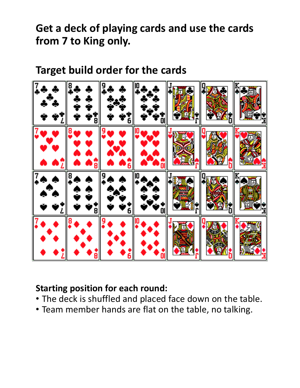**Get a deck of playing cards and use the cards from 7 to King only.**

## **Target build order for the cards**



## **Starting position for each round:**

- The deck is shuffled and placed face down on the table.
- Team member hands are flat on the table, no talking.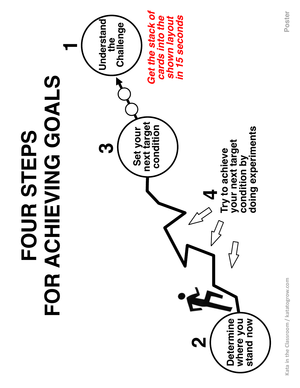

Kata in the Classroom / katatogrow.com **Kata in the Classroom / katatogrow.com**

**Poster**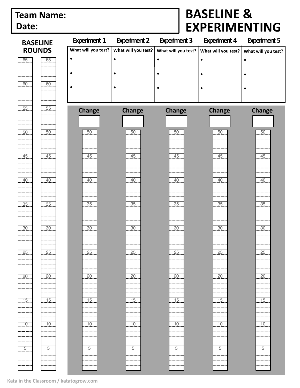## **Team Name: Date:**

## **BASELINE & EXPERIMENTING**

| <b>BASELINE</b> |                | <b>Experiment 1</b> | <b>Experiment 2</b> | <b>Experiment 3</b> | <b>Experiment 4</b> | <b>Experiment 5</b> |
|-----------------|----------------|---------------------|---------------------|---------------------|---------------------|---------------------|
| <b>ROUNDS</b>   |                | What will you test? | What will you test? | What will you test? | What will you test? | What will you test? |
| 65              | 65             | $\bullet$           |                     | $\bullet$           |                     |                     |
|                 |                |                     |                     |                     |                     |                     |
|                 |                | $\bullet$           |                     |                     |                     |                     |
| 60              | 60             | $\bullet$           |                     | ٠                   |                     |                     |
|                 |                |                     |                     |                     |                     |                     |
|                 |                |                     |                     |                     |                     |                     |
| 55              | 55             | <b>Change</b>       | <b>Change</b>       | <b>Change</b>       | <b>Change</b>       | <b>Change</b>       |
|                 |                |                     |                     |                     |                     |                     |
|                 |                |                     |                     |                     |                     |                     |
| 50              | 50             | 50                  | $\overline{50}$     | 50                  | 50                  | 50                  |
|                 |                |                     |                     |                     |                     |                     |
|                 |                | 45                  |                     |                     |                     |                     |
| $\frac{45}{1}$  | 45             |                     | 45                  | 45                  | 45                  | .45                 |
|                 |                |                     |                     |                     |                     |                     |
| 40              | 40             | 40                  | $\overline{40}$     | $\frac{40}{1}$      | $\frac{40}{1}$      | 40                  |
|                 |                |                     |                     |                     |                     |                     |
|                 |                |                     |                     |                     |                     |                     |
| 35              | 35             | $\frac{35}{2}$      | $\frac{35}{2}$      | $\frac{35}{2}$      | 35                  | 35                  |
|                 |                |                     |                     |                     |                     |                     |
|                 |                |                     |                     |                     |                     |                     |
| 30              | 30             | 30                  | 30                  | 30                  | 30                  | $\frac{30}{2}$      |
|                 |                |                     |                     |                     |                     |                     |
|                 |                |                     |                     |                     |                     |                     |
| $-25$           | 25             | 25                  | $-25$               | 25                  | 25                  | 25                  |
|                 |                |                     |                     |                     |                     |                     |
|                 |                |                     |                     |                     |                     |                     |
| 20              | 20.            | 20                  | 20                  | 20                  | $\overline{20}$     | $\overline{20}$     |
|                 |                |                     |                     |                     |                     |                     |
| $\frac{15}{1}$  | $\frac{15}{2}$ | $\overline{15}$     | 15                  | 15                  | 15                  | 15                  |
|                 |                |                     |                     |                     |                     |                     |
|                 |                |                     |                     |                     |                     |                     |
| $-10$<br>------ | 10             | 10                  | 10                  | 10                  | 10                  | $\frac{10}{1}$      |
|                 |                |                     |                     |                     |                     |                     |
|                 |                |                     |                     |                     |                     |                     |
| $\overline{5}$  | 5              | $\overline{5}$      | 5                   | $\overline{5}$      | $\overline{5}$      | $\overline{5}$      |
|                 |                |                     |                     |                     |                     |                     |
|                 |                |                     |                     |                     |                     |                     |
|                 |                |                     |                     |                     |                     |                     |